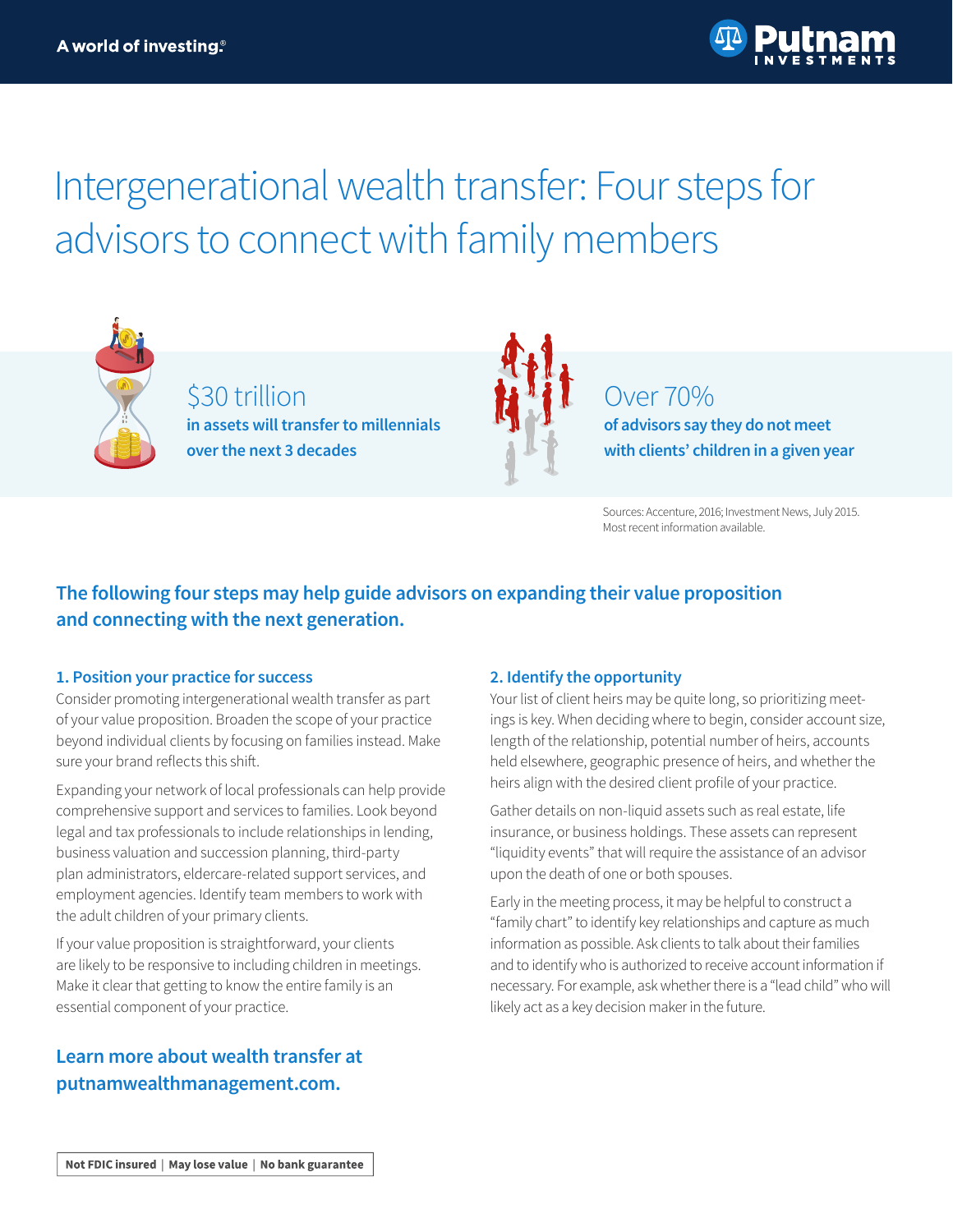# Intergenerational wealth transfer: Four steps for advisors to connect with family members



\$30 trillion **in assets will transfer to millennials over the next 3 decades**



## Over 70%

**of advisors say they do not meet with clients' children in a given year**

Sources: Accenture, 2016; Investment News, July 2015. Most recent information available.

## **The following four steps may help guide advisors on expanding their value proposition and connecting with the next generation.**

#### **1. Position your practice for success**

Consider promoting intergenerational wealth transfer as part of your value proposition. Broaden the scope of your practice beyond individual clients by focusing on families instead. Make sure your brand reflects this shift.

Expanding your network of local professionals can help provide comprehensive support and services to families. Look beyond legal and tax professionals to include relationships in lending, business valuation and succession planning, third-party plan administrators, eldercare-related support services, and employment agencies. Identify team members to work with the adult children of your primary clients.

If your value proposition is straightforward, your clients are likely to be responsive to including children in meetings. Make it clear that getting to know the entire family is an essential component of your practice.

### **Learn more about wealth transfer at [putnamwealthmanagement.com.](https://www.putnamwealthmanagement.com?ref=II958.pdf)**

#### **2. Identify the opportunity**

Your list of client heirs may be quite long, so prioritizing meetings is key. When deciding where to begin, consider account size, length of the relationship, potential number of heirs, accounts held elsewhere, geographic presence of heirs, and whether the heirs align with the desired client profile of your practice.

Gather details on non-liquid assets such as real estate, life insurance, or business holdings. These assets can represent "liquidity events" that will require the assistance of an advisor upon the death of one or both spouses.

Early in the meeting process, it may be helpful to construct a "family chart" to identify key relationships and capture as much information as possible. Ask clients to talk about their families and to identify who is authorized to receive account information if necessary. For example, ask whether there is a "lead child" who will likely act as a key decision maker in the future.